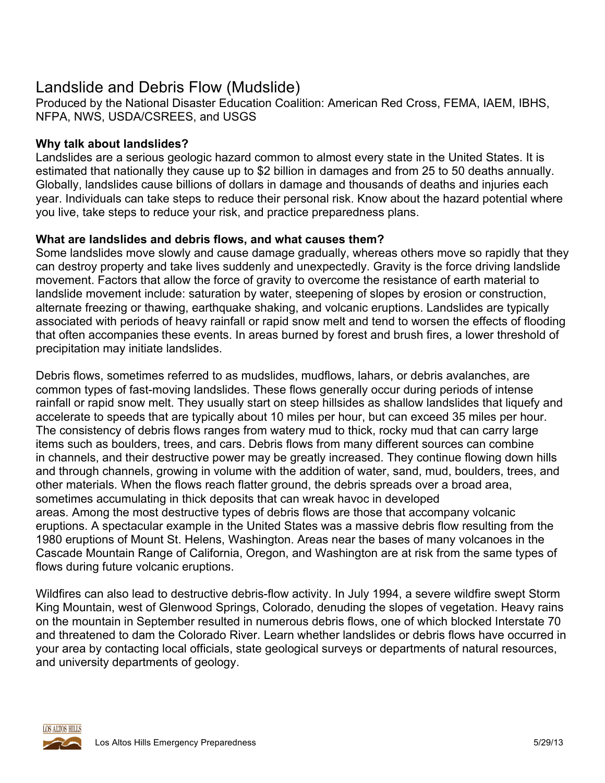# Landslide and Debris Flow (Mudslide)

Produced by the National Disaster Education Coalition: American Red Cross, FEMA, IAEM, IBHS, NFPA, NWS, USDA/CSREES, and USGS

#### **Why talk about landslides?**

Landslides are a serious geologic hazard common to almost every state in the United States. It is estimated that nationally they cause up to \$2 billion in damages and from 25 to 50 deaths annually. Globally, landslides cause billions of dollars in damage and thousands of deaths and injuries each year. Individuals can take steps to reduce their personal risk. Know about the hazard potential where you live, take steps to reduce your risk, and practice preparedness plans.

#### **What are landslides and debris flows, and what causes them?**

Some landslides move slowly and cause damage gradually, whereas others move so rapidly that they can destroy property and take lives suddenly and unexpectedly. Gravity is the force driving landslide movement. Factors that allow the force of gravity to overcome the resistance of earth material to landslide movement include: saturation by water, steepening of slopes by erosion or construction, alternate freezing or thawing, earthquake shaking, and volcanic eruptions. Landslides are typically associated with periods of heavy rainfall or rapid snow melt and tend to worsen the effects of flooding that often accompanies these events. In areas burned by forest and brush fires, a lower threshold of precipitation may initiate landslides.

Debris flows, sometimes referred to as mudslides, mudflows, lahars, or debris avalanches, are common types of fast-moving landslides. These flows generally occur during periods of intense rainfall or rapid snow melt. They usually start on steep hillsides as shallow landslides that liquefy and accelerate to speeds that are typically about 10 miles per hour, but can exceed 35 miles per hour. The consistency of debris flows ranges from watery mud to thick, rocky mud that can carry large items such as boulders, trees, and cars. Debris flows from many different sources can combine in channels, and their destructive power may be greatly increased. They continue flowing down hills and through channels, growing in volume with the addition of water, sand, mud, boulders, trees, and other materials. When the flows reach flatter ground, the debris spreads over a broad area, sometimes accumulating in thick deposits that can wreak havoc in developed areas. Among the most destructive types of debris flows are those that accompany volcanic eruptions. A spectacular example in the United States was a massive debris flow resulting from the 1980 eruptions of Mount St. Helens, Washington. Areas near the bases of many volcanoes in the Cascade Mountain Range of California, Oregon, and Washington are at risk from the same types of flows during future volcanic eruptions.

Wildfires can also lead to destructive debris-flow activity. In July 1994, a severe wildfire swept Storm King Mountain, west of Glenwood Springs, Colorado, denuding the slopes of vegetation. Heavy rains on the mountain in September resulted in numerous debris flows, one of which blocked Interstate 70 and threatened to dam the Colorado River. Learn whether landslides or debris flows have occurred in your area by contacting local officials, state geological surveys or departments of natural resources, and university departments of geology.

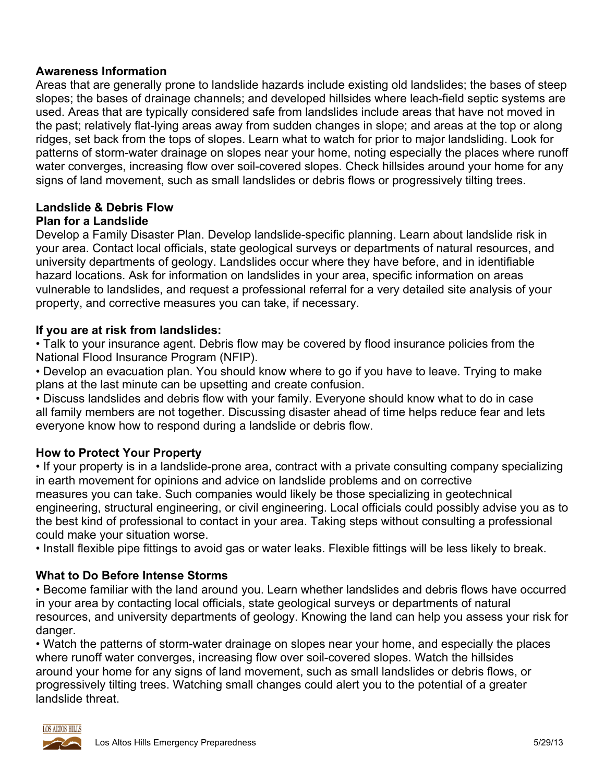#### **Awareness Information**

Areas that are generally prone to landslide hazards include existing old landslides; the bases of steep slopes; the bases of drainage channels; and developed hillsides where leach-field septic systems are used. Areas that are typically considered safe from landslides include areas that have not moved in the past; relatively flat-lying areas away from sudden changes in slope; and areas at the top or along ridges, set back from the tops of slopes. Learn what to watch for prior to major landsliding. Look for patterns of storm-water drainage on slopes near your home, noting especially the places where runoff water converges, increasing flow over soil-covered slopes. Check hillsides around your home for any signs of land movement, such as small landslides or debris flows or progressively tilting trees.

# **Landslide & Debris Flow**

#### **Plan for a Landslide**

Develop a Family Disaster Plan. Develop landslide-specific planning. Learn about landslide risk in your area. Contact local officials, state geological surveys or departments of natural resources, and university departments of geology. Landslides occur where they have before, and in identifiable hazard locations. Ask for information on landslides in your area, specific information on areas vulnerable to landslides, and request a professional referral for a very detailed site analysis of your property, and corrective measures you can take, if necessary.

#### **If you are at risk from landslides:**

• Talk to your insurance agent. Debris flow may be covered by flood insurance policies from the National Flood Insurance Program (NFIP).

• Develop an evacuation plan. You should know where to go if you have to leave. Trying to make plans at the last minute can be upsetting and create confusion.

• Discuss landslides and debris flow with your family. Everyone should know what to do in case all family members are not together. Discussing disaster ahead of time helps reduce fear and lets everyone know how to respond during a landslide or debris flow.

# **How to Protect Your Property**

• If your property is in a landslide-prone area, contract with a private consulting company specializing in earth movement for opinions and advice on landslide problems and on corrective measures you can take. Such companies would likely be those specializing in geotechnical engineering, structural engineering, or civil engineering. Local officials could possibly advise you as to the best kind of professional to contact in your area. Taking steps without consulting a professional could make your situation worse.

• Install flexible pipe fittings to avoid gas or water leaks. Flexible fittings will be less likely to break.

# **What to Do Before Intense Storms**

• Become familiar with the land around you. Learn whether landslides and debris flows have occurred in your area by contacting local officials, state geological surveys or departments of natural resources, and university departments of geology. Knowing the land can help you assess your risk for danger.

• Watch the patterns of storm-water drainage on slopes near your home, and especially the places where runoff water converges, increasing flow over soil-covered slopes. Watch the hillsides around your home for any signs of land movement, such as small landslides or debris flows, or progressively tilting trees. Watching small changes could alert you to the potential of a greater landslide threat.

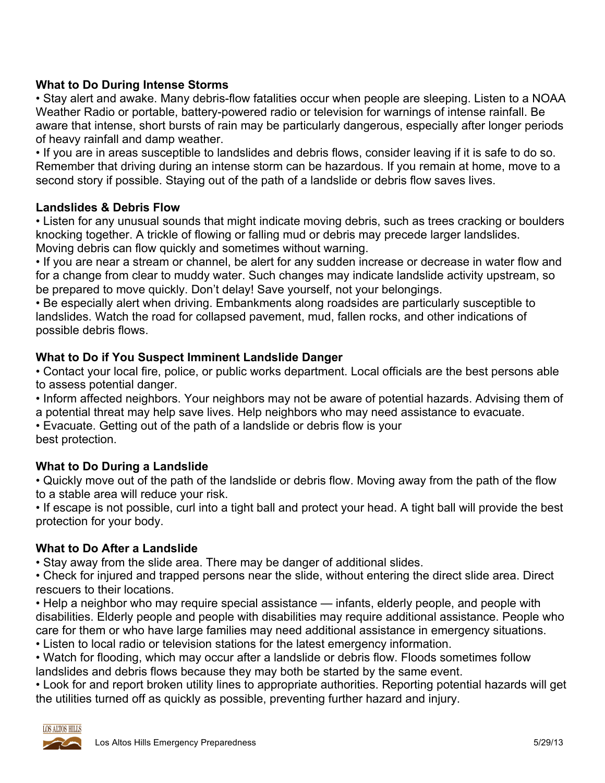# **What to Do During Intense Storms**

• Stay alert and awake. Many debris-flow fatalities occur when people are sleeping. Listen to a NOAA Weather Radio or portable, battery-powered radio or television for warnings of intense rainfall. Be aware that intense, short bursts of rain may be particularly dangerous, especially after longer periods of heavy rainfall and damp weather.

• If you are in areas susceptible to landslides and debris flows, consider leaving if it is safe to do so. Remember that driving during an intense storm can be hazardous. If you remain at home, move to a second story if possible. Staying out of the path of a landslide or debris flow saves lives.

# **Landslides & Debris Flow**

• Listen for any unusual sounds that might indicate moving debris, such as trees cracking or boulders knocking together. A trickle of flowing or falling mud or debris may precede larger landslides. Moving debris can flow quickly and sometimes without warning.

• If you are near a stream or channel, be alert for any sudden increase or decrease in water flow and for a change from clear to muddy water. Such changes may indicate landslide activity upstream, so be prepared to move quickly. Don't delay! Save yourself, not your belongings.

• Be especially alert when driving. Embankments along roadsides are particularly susceptible to landslides. Watch the road for collapsed pavement, mud, fallen rocks, and other indications of possible debris flows.

#### **What to Do if You Suspect Imminent Landslide Danger**

• Contact your local fire, police, or public works department. Local officials are the best persons able to assess potential danger.

• Inform affected neighbors. Your neighbors may not be aware of potential hazards. Advising them of a potential threat may help save lives. Help neighbors who may need assistance to evacuate.

• Evacuate. Getting out of the path of a landslide or debris flow is your best protection.

# **What to Do During a Landslide**

• Quickly move out of the path of the landslide or debris flow. Moving away from the path of the flow to a stable area will reduce your risk.

• If escape is not possible, curl into a tight ball and protect your head. A tight ball will provide the best protection for your body.

# **What to Do After a Landslide**

• Stay away from the slide area. There may be danger of additional slides.

• Check for injured and trapped persons near the slide, without entering the direct slide area. Direct rescuers to their locations.

• Help a neighbor who may require special assistance — infants, elderly people, and people with disabilities. Elderly people and people with disabilities may require additional assistance. People who care for them or who have large families may need additional assistance in emergency situations.

• Listen to local radio or television stations for the latest emergency information.

• Watch for flooding, which may occur after a landslide or debris flow. Floods sometimes follow landslides and debris flows because they may both be started by the same event.

• Look for and report broken utility lines to appropriate authorities. Reporting potential hazards will get the utilities turned off as quickly as possible, preventing further hazard and injury.